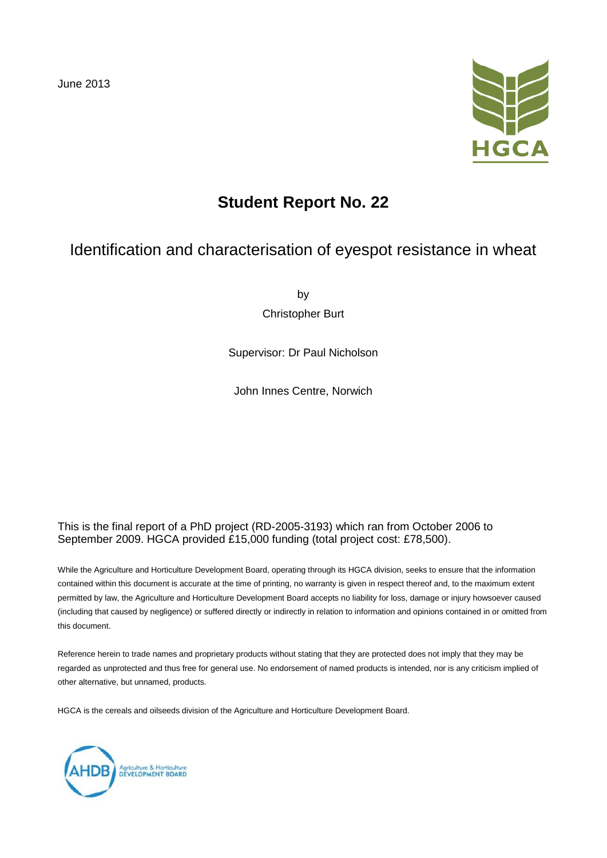

# **Student Report No. 22**

## Identification and characterisation of eyespot resistance in wheat

by

Christopher Burt

Supervisor: Dr Paul Nicholson

John Innes Centre, Norwich

#### This is the final report of a PhD project (RD-2005-3193) which ran from October 2006 to September 2009. HGCA provided £15,000 funding (total project cost: £78,500).

While the Agriculture and Horticulture Development Board, operating through its HGCA division, seeks to ensure that the information contained within this document is accurate at the time of printing, no warranty is given in respect thereof and, to the maximum extent permitted by law, the Agriculture and Horticulture Development Board accepts no liability for loss, damage or injury howsoever caused (including that caused by negligence) or suffered directly or indirectly in relation to information and opinions contained in or omitted from this document.

Reference herein to trade names and proprietary products without stating that they are protected does not imply that they may be regarded as unprotected and thus free for general use. No endorsement of named products is intended, nor is any criticism implied of other alternative, but unnamed, products.

HGCA is the cereals and oilseeds division of the Agriculture and Horticulture Development Board.

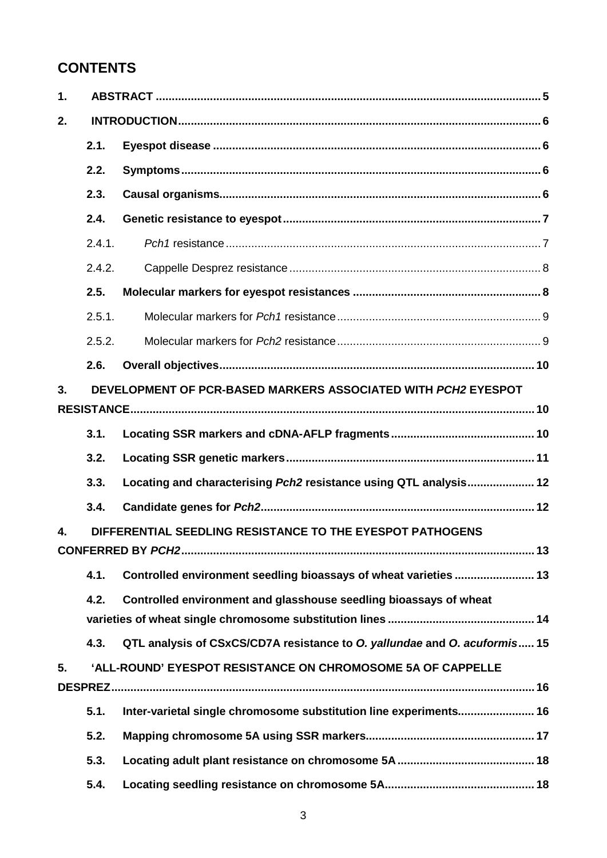# **CONTENTS**

| 1. |        |                                                                           |
|----|--------|---------------------------------------------------------------------------|
| 2. |        |                                                                           |
|    | 2.1.   |                                                                           |
|    | 2.2.   |                                                                           |
|    | 2.3.   |                                                                           |
|    | 2.4.   |                                                                           |
|    | 2.4.1. |                                                                           |
|    | 2.4.2. |                                                                           |
|    | 2.5.   |                                                                           |
|    | 2.5.1. |                                                                           |
|    | 2.5.2. |                                                                           |
|    | 2.6.   |                                                                           |
| 3. |        | DEVELOPMENT OF PCR-BASED MARKERS ASSOCIATED WITH PCH2 EYESPOT             |
|    |        |                                                                           |
|    | 3.1.   |                                                                           |
|    | 3.2.   |                                                                           |
|    | 3.3.   | Locating and characterising Pch2 resistance using QTL analysis 12         |
|    | 3.4.   |                                                                           |
| 4. |        | DIFFERENTIAL SEEDLING RESISTANCE TO THE EYESPOT PATHOGENS                 |
|    |        |                                                                           |
|    | 4.1.   | Controlled environment seedling bioassays of wheat varieties  13          |
|    | 4.2.   | Controlled environment and glasshouse seedling bioassays of wheat         |
|    |        |                                                                           |
|    | 4.3.   | QTL analysis of CSxCS/CD7A resistance to O. yallundae and O. acuformis 15 |
| 5. |        | 'ALL-ROUND' EYESPOT RESISTANCE ON CHROMOSOME 5A OF CAPPELLE               |
|    |        |                                                                           |
|    | 5.1.   | Inter-varietal single chromosome substitution line experiments 16         |
|    | 5.2.   |                                                                           |
|    | 5.3.   |                                                                           |
|    | 5.4.   |                                                                           |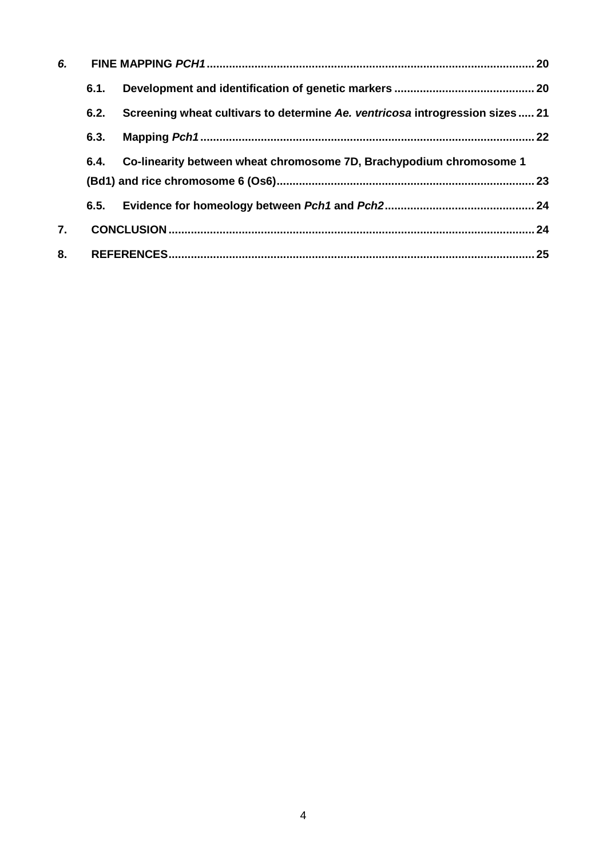| 6. |      |                                                                              |    |
|----|------|------------------------------------------------------------------------------|----|
|    | 6.1. |                                                                              |    |
|    | 6.2. | Screening wheat cultivars to determine Ae. ventricosa introgression sizes 21 |    |
|    | 6.3. |                                                                              |    |
|    | 6.4. | Co-linearity between wheat chromosome 7D, Brachypodium chromosome 1          |    |
|    | 6.5. |                                                                              |    |
| 7. |      |                                                                              |    |
| 8. |      |                                                                              | 25 |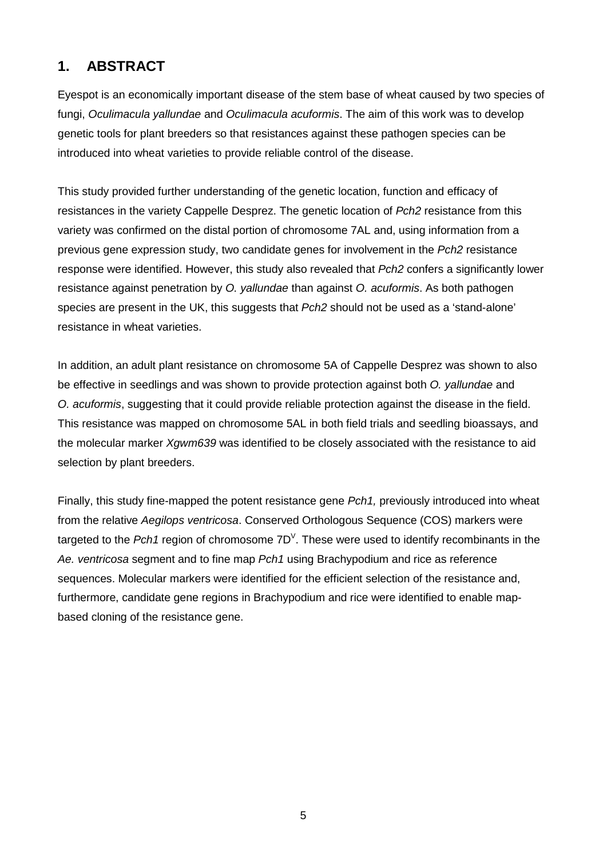# **1. ABSTRACT**

Eyespot is an economically important disease of the stem base of wheat caused by two species of fungi, *Oculimacula yallundae* and *Oculimacula acuformis*. The aim of this work was to develop genetic tools for plant breeders so that resistances against these pathogen species can be introduced into wheat varieties to provide reliable control of the disease.

This study provided further understanding of the genetic location, function and efficacy of resistances in the variety Cappelle Desprez. The genetic location of *Pch2* resistance from this variety was confirmed on the distal portion of chromosome 7AL and, using information from a previous gene expression study, two candidate genes for involvement in the *Pch2* resistance response were identified. However, this study also revealed that *Pch2* confers a significantly lower resistance against penetration by *O. yallundae* than against *O. acuformis*. As both pathogen species are present in the UK, this suggests that *Pch2* should not be used as a 'stand-alone' resistance in wheat varieties.

In addition, an adult plant resistance on chromosome 5A of Cappelle Desprez was shown to also be effective in seedlings and was shown to provide protection against both *O. yallundae* and *O. acuformis*, suggesting that it could provide reliable protection against the disease in the field. This resistance was mapped on chromosome 5AL in both field trials and seedling bioassays, and the molecular marker *Xgwm639* was identified to be closely associated with the resistance to aid selection by plant breeders.

Finally, this study fine-mapped the potent resistance gene *Pch1,* previously introduced into wheat from the relative *Aegilops ventricosa*. Conserved Orthologous Sequence (COS) markers were targeted to the Pch1 region of chromosome 7D<sup>V</sup>. These were used to identify recombinants in the *Ae. ventricosa* segment and to fine map *Pch1* using Brachypodium and rice as reference sequences. Molecular markers were identified for the efficient selection of the resistance and, furthermore, candidate gene regions in Brachypodium and rice were identified to enable mapbased cloning of the resistance gene.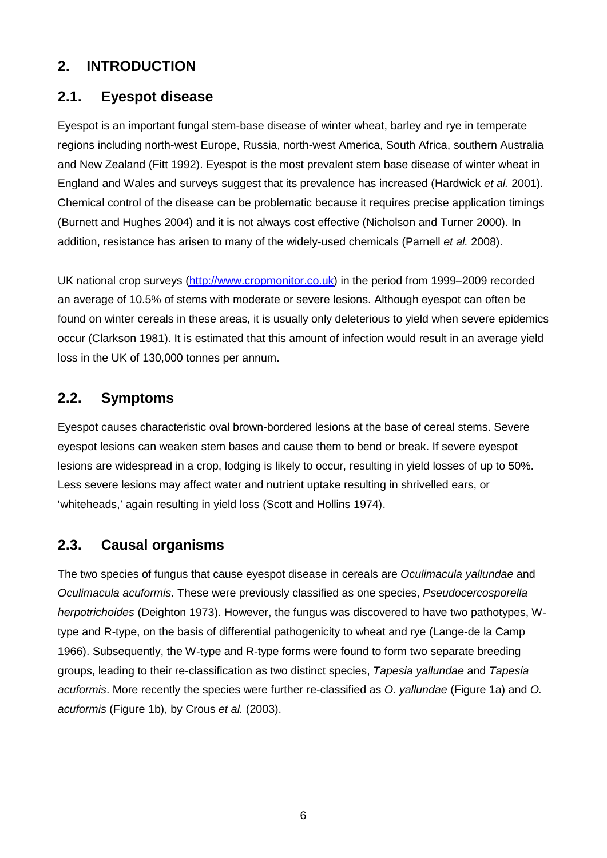### **2. INTRODUCTION**

#### **2.1. Eyespot disease**

Eyespot is an important fungal stem-base disease of winter wheat, barley and rye in temperate regions including north-west Europe, Russia, north-west America, South Africa, southern Australia and New Zealand (Fitt 1992). Eyespot is the most prevalent stem base disease of winter wheat in England and Wales and surveys suggest that its prevalence has increased (Hardwick *et al.* 2001). Chemical control of the disease can be problematic because it requires precise application timings (Burnett and Hughes 2004) and it is not always cost effective (Nicholson and Turner 2000). In addition, resistance has arisen to many of the widely-used chemicals (Parnell *et al.* 2008).

UK national crop surveys [\(http://www.cropmonitor.co.uk\)](http://www.cropmonitor.co.uk/) in the period from 1999–2009 recorded an average of 10.5% of stems with moderate or severe lesions. Although eyespot can often be found on winter cereals in these areas, it is usually only deleterious to yield when severe epidemics occur (Clarkson 1981). It is estimated that this amount of infection would result in an average yield loss in the UK of 130,000 tonnes per annum.

#### **2.2. Symptoms**

Eyespot causes characteristic oval brown-bordered lesions at the base of cereal stems. Severe eyespot lesions can weaken stem bases and cause them to bend or break. If severe eyespot lesions are widespread in a crop, lodging is likely to occur, resulting in yield losses of up to 50%. Less severe lesions may affect water and nutrient uptake resulting in shrivelled ears, or 'whiteheads,' again resulting in yield loss (Scott and Hollins 1974).

### **2.3. Causal organisms**

The two species of fungus that cause eyespot disease in cereals are *Oculimacula yallundae* and *Oculimacula acuformis.* These were previously classified as one species, *Pseudocercosporella herpotrichoides* (Deighton 1973). However, the fungus was discovered to have two pathotypes, Wtype and R-type, on the basis of differential pathogenicity to wheat and rye (Lange-de la Camp 1966). Subsequently, the W-type and R-type forms were found to form two separate breeding groups, leading to their re-classification as two distinct species, *Tapesia yallundae* and *Tapesia acuformis*. More recently the species were further re-classified as *O. yallundae* (Figure 1a) and *O. acuformis* (Figure 1b), by Crous *et al.* (2003).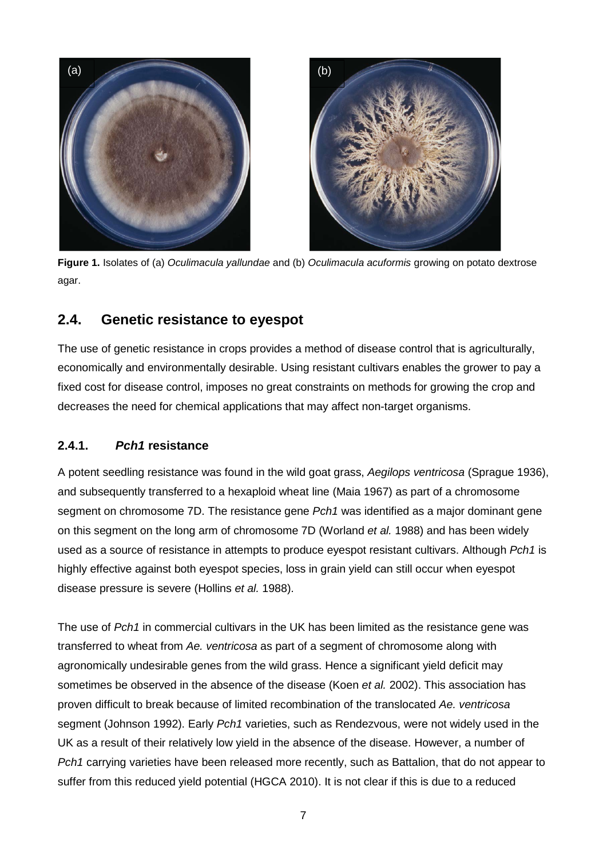

**Figure 1.** Isolates of (a) *Oculimacula yallundae* and (b) *Oculimacula acuformis* growing on potato dextrose agar.

### **2.4. Genetic resistance to eyespot**

The use of genetic resistance in crops provides a method of disease control that is agriculturally, economically and environmentally desirable. Using resistant cultivars enables the grower to pay a fixed cost for disease control, imposes no great constraints on methods for growing the crop and decreases the need for chemical applications that may affect non-target organisms.

#### **2.4.1.** *Pch1* **resistance**

A potent seedling resistance was found in the wild goat grass, *Aegilops ventricosa* (Sprague 1936), and subsequently transferred to a hexaploid wheat line (Maia 1967) as part of a chromosome segment on chromosome 7D. The resistance gene *Pch1* was identified as a major dominant gene on this segment on the long arm of chromosome 7D (Worland *et al.* 1988) and has been widely used as a source of resistance in attempts to produce eyespot resistant cultivars. Although *Pch1* is highly effective against both eyespot species, loss in grain yield can still occur when eyespot disease pressure is severe (Hollins *et al.* 1988).

The use of *Pch1* in commercial cultivars in the UK has been limited as the resistance gene was transferred to wheat from *Ae. ventricosa* as part of a segment of chromosome along with agronomically undesirable genes from the wild grass. Hence a significant yield deficit may sometimes be observed in the absence of the disease (Koen *et al.* 2002). This association has proven difficult to break because of limited recombination of the translocated *Ae. ventricosa*  segment (Johnson 1992). Early *Pch1* varieties, such as Rendezvous, were not widely used in the UK as a result of their relatively low yield in the absence of the disease. However, a number of *Pch1* carrying varieties have been released more recently, such as Battalion, that do not appear to suffer from this reduced yield potential (HGCA 2010). It is not clear if this is due to a reduced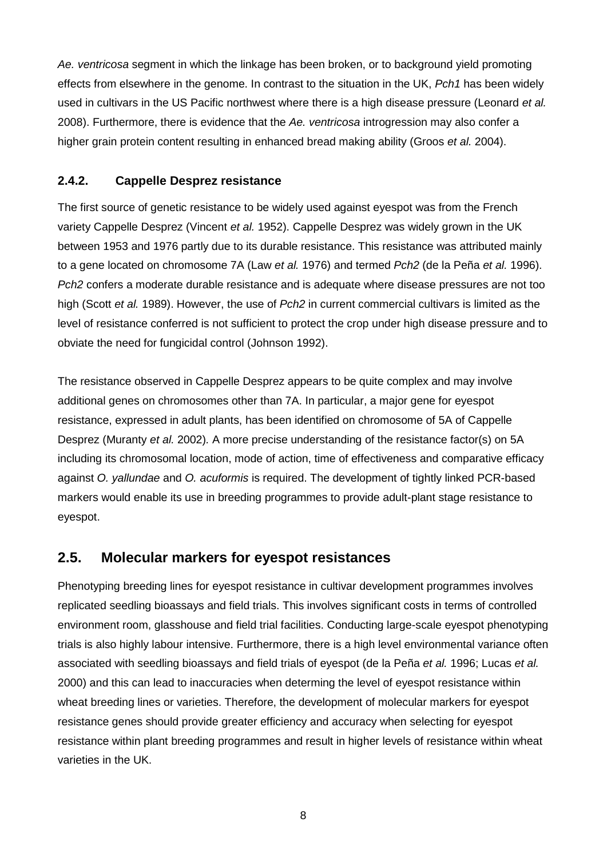*Ae. ventricosa* segment in which the linkage has been broken, or to background yield promoting effects from elsewhere in the genome. In contrast to the situation in the UK, *Pch1* has been widely used in cultivars in the US Pacific northwest where there is a high disease pressure (Leonard *et al.* 2008). Furthermore, there is evidence that the *Ae. ventricosa* introgression may also confer a higher grain protein content resulting in enhanced bread making ability (Groos *et al.* 2004).

#### **2.4.2. Cappelle Desprez resistance**

The first source of genetic resistance to be widely used against eyespot was from the French variety Cappelle Desprez (Vincent *et al.* 1952). Cappelle Desprez was widely grown in the UK between 1953 and 1976 partly due to its durable resistance. This resistance was attributed mainly to a gene located on chromosome 7A (Law *et al.* 1976) and termed *Pch2* (de la Peña *et al.* 1996). *Pch2* confers a moderate durable resistance and is adequate where disease pressures are not too high (Scott *et al.* 1989). However, the use of *Pch2* in current commercial cultivars is limited as the level of resistance conferred is not sufficient to protect the crop under high disease pressure and to obviate the need for fungicidal control (Johnson 1992).

The resistance observed in Cappelle Desprez appears to be quite complex and may involve additional genes on chromosomes other than 7A. In particular, a major gene for eyespot resistance, expressed in adult plants, has been identified on chromosome of 5A of Cappelle Desprez (Muranty *et al.* 2002)*.* A more precise understanding of the resistance factor(s) on 5A including its chromosomal location, mode of action, time of effectiveness and comparative efficacy against *O. yallundae* and *O. acuformis* is required. The development of tightly linked PCR-based markers would enable its use in breeding programmes to provide adult-plant stage resistance to eyespot.

### **2.5. Molecular markers for eyespot resistances**

Phenotyping breeding lines for eyespot resistance in cultivar development programmes involves replicated seedling bioassays and field trials. This involves significant costs in terms of controlled environment room, glasshouse and field trial facilities. Conducting large-scale eyespot phenotyping trials is also highly labour intensive. Furthermore, there is a high level environmental variance often associated with seedling bioassays and field trials of eyespot (de la Peña *et al.* 1996; Lucas *et al.* 2000) and this can lead to inaccuracies when determing the level of eyespot resistance within wheat breeding lines or varieties. Therefore, the development of molecular markers for eyespot resistance genes should provide greater efficiency and accuracy when selecting for eyespot resistance within plant breeding programmes and result in higher levels of resistance within wheat varieties in the UK.

8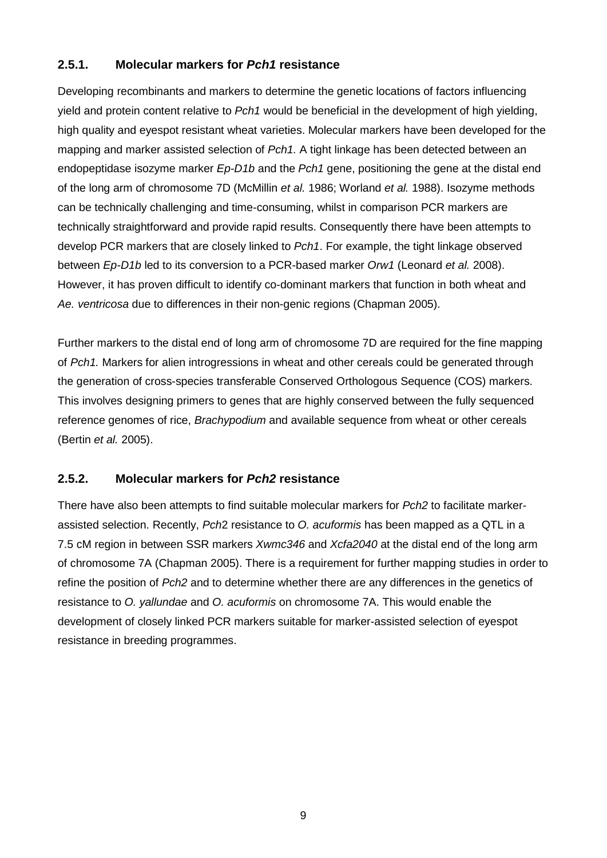#### **2.5.1. Molecular markers for** *Pch1* **resistance**

Developing recombinants and markers to determine the genetic locations of factors influencing yield and protein content relative to *Pch1* would be beneficial in the development of high yielding, high quality and eyespot resistant wheat varieties. Molecular markers have been developed for the mapping and marker assisted selection of *Pch1.* A tight linkage has been detected between an endopeptidase isozyme marker *Ep-D1b* and the *Pch1* gene, positioning the gene at the distal end of the long arm of chromosome 7D (McMillin *et al.* 1986; Worland *et al.* 1988). Isozyme methods can be technically challenging and time-consuming, whilst in comparison PCR markers are technically straightforward and provide rapid results. Consequently there have been attempts to develop PCR markers that are closely linked to *Pch1*. For example, the tight linkage observed between *Ep-D1b* led to its conversion to a PCR-based marker *Orw1* (Leonard *et al.* 2008). However, it has proven difficult to identify co-dominant markers that function in both wheat and *Ae. ventricosa* due to differences in their non-genic regions (Chapman 2005).

Further markers to the distal end of long arm of chromosome 7D are required for the fine mapping of *Pch1.* Markers for alien introgressions in wheat and other cereals could be generated through the generation of cross-species transferable Conserved Orthologous Sequence (COS) markers. This involves designing primers to genes that are highly conserved between the fully sequenced reference genomes of rice, *Brachypodium* and available sequence from wheat or other cereals (Bertin *et al.* 2005).

#### **2.5.2. Molecular markers for** *Pch2* **resistance**

There have also been attempts to find suitable molecular markers for *Pch2* to facilitate markerassisted selection. Recently, *Pch*2 resistance to *O. acuformis* has been mapped as a QTL in a 7.5 cM region in between SSR markers *Xwmc346* and *Xcfa2040* at the distal end of the long arm of chromosome 7A (Chapman 2005). There is a requirement for further mapping studies in order to refine the position of *Pch2* and to determine whether there are any differences in the genetics of resistance to *O. yallundae* and *O. acuformis* on chromosome 7A. This would enable the development of closely linked PCR markers suitable for marker-assisted selection of eyespot resistance in breeding programmes.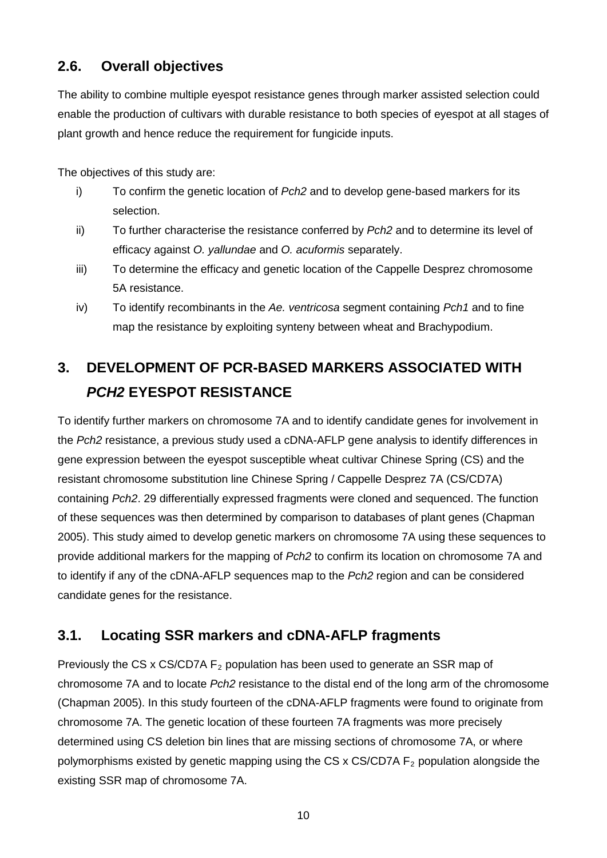### **2.6. Overall objectives**

The ability to combine multiple eyespot resistance genes through marker assisted selection could enable the production of cultivars with durable resistance to both species of eyespot at all stages of plant growth and hence reduce the requirement for fungicide inputs.

The objectives of this study are:

- i) To confirm the genetic location of *Pch2* and to develop gene-based markers for its selection.
- ii) To further characterise the resistance conferred by *Pch2* and to determine its level of efficacy against *O. yallundae* and *O. acuformis* separately.
- iii) To determine the efficacy and genetic location of the Cappelle Desprez chromosome 5A resistance.
- iv) To identify recombinants in the *Ae. ventricosa* segment containing *Pch1* and to fine map the resistance by exploiting synteny between wheat and Brachypodium.

# **3. DEVELOPMENT OF PCR-BASED MARKERS ASSOCIATED WITH**  *PCH2* **EYESPOT RESISTANCE**

To identify further markers on chromosome 7A and to identify candidate genes for involvement in the *Pch2* resistance, a previous study used a cDNA-AFLP gene analysis to identify differences in gene expression between the eyespot susceptible wheat cultivar Chinese Spring (CS) and the resistant chromosome substitution line Chinese Spring / Cappelle Desprez 7A (CS/CD7A) containing *Pch2*. 29 differentially expressed fragments were cloned and sequenced. The function of these sequences was then determined by comparison to databases of plant genes (Chapman 2005). This study aimed to develop genetic markers on chromosome 7A using these sequences to provide additional markers for the mapping of *Pch2* to confirm its location on chromosome 7A and to identify if any of the cDNA-AFLP sequences map to the *Pch2* region and can be considered candidate genes for the resistance.

## **3.1. Locating SSR markers and cDNA-AFLP fragments**

Previously the CS x CS/CD7A  $F_2$  population has been used to generate an SSR map of chromosome 7A and to locate *Pch2* resistance to the distal end of the long arm of the chromosome (Chapman 2005). In this study fourteen of the cDNA-AFLP fragments were found to originate from chromosome 7A. The genetic location of these fourteen 7A fragments was more precisely determined using CS deletion bin lines that are missing sections of chromosome 7A, or where polymorphisms existed by genetic mapping using the CS x CS/CD7A  $F<sub>2</sub>$  population alongside the existing SSR map of chromosome 7A.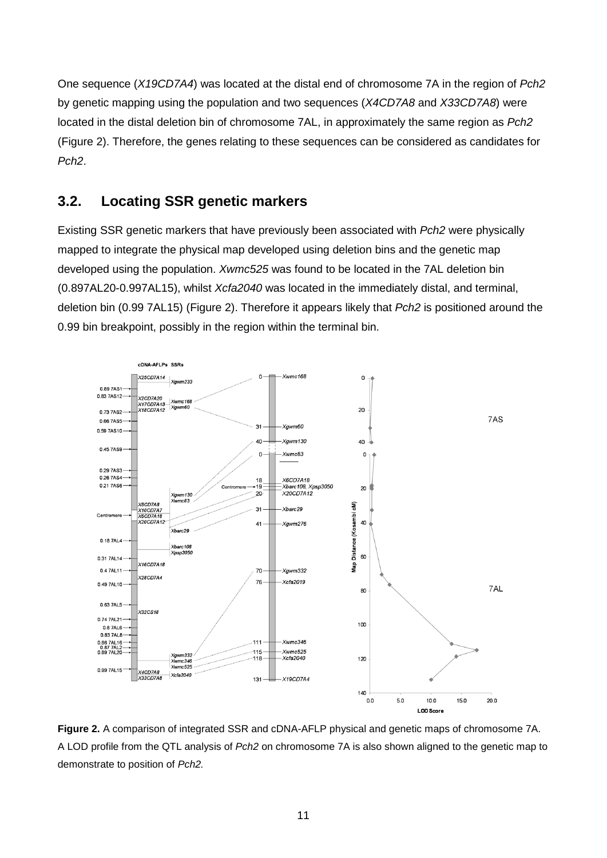One sequence (*X19CD7A4*) was located at the distal end of chromosome 7A in the region of *Pch2* by genetic mapping using the population and two sequences (*X4CD7A8* and *X33CD7A8*) were located in the distal deletion bin of chromosome 7AL, in approximately the same region as *Pch2* (Figure 2). Therefore, the genes relating to these sequences can be considered as candidates for *Pch2*.

### **3.2. Locating SSR genetic markers**

Existing SSR genetic markers that have previously been associated with *Pch2* were physically mapped to integrate the physical map developed using deletion bins and the genetic map developed using the population. *Xwmc525* was found to be located in the 7AL deletion bin (0.897AL20-0.997AL15), whilst *Xcfa2040* was located in the immediately distal, and terminal, deletion bin (0.99 7AL15) (Figure 2). Therefore it appears likely that *Pch2* is positioned around the 0.99 bin breakpoint, possibly in the region within the terminal bin.



**Figure 2.** A comparison of integrated SSR and cDNA-AFLP physical and genetic maps of chromosome 7A. A LOD profile from the QTL analysis of *Pch2* on chromosome 7A is also shown aligned to the genetic map to demonstrate to position of *Pch2.*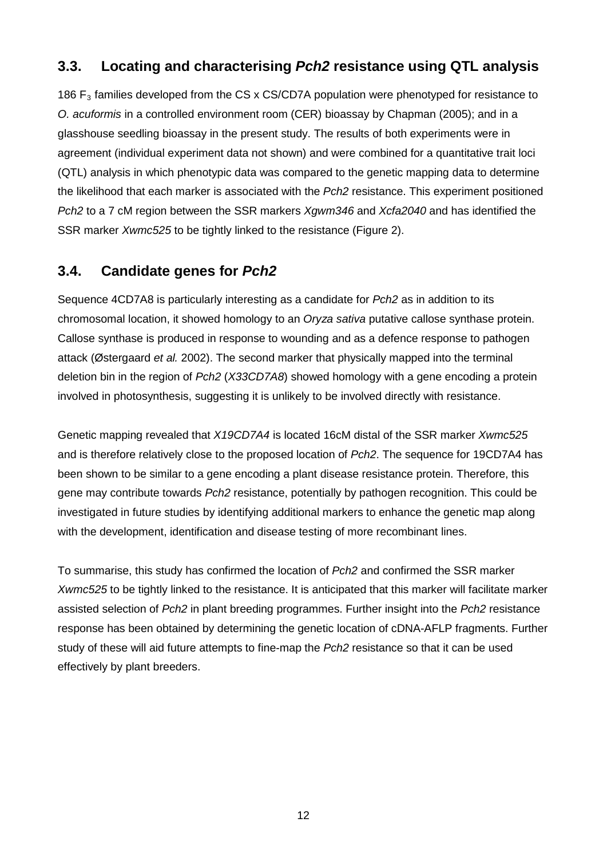### **3.3. Locating and characterising** *Pch2* **resistance using QTL analysis**

186  $F_3$  families developed from the CS x CS/CD7A population were phenotyped for resistance to *O. acuformis* in a controlled environment room (CER) bioassay by Chapman (2005); and in a glasshouse seedling bioassay in the present study. The results of both experiments were in agreement (individual experiment data not shown) and were combined for a quantitative trait loci (QTL) analysis in which phenotypic data was compared to the genetic mapping data to determine the likelihood that each marker is associated with the *Pch2* resistance. This experiment positioned *Pch2* to a 7 cM region between the SSR markers *Xgwm346* and *Xcfa2040* and has identified the SSR marker *Xwmc525* to be tightly linked to the resistance (Figure 2).

### **3.4. Candidate genes for** *Pch2*

Sequence 4CD7A8 is particularly interesting as a candidate for *Pch2* as in addition to its chromosomal location, it showed homology to an *Oryza sativa* putative callose synthase protein. Callose synthase is produced in response to wounding and as a defence response to pathogen attack (Østergaard *et al.* 2002). The second marker that physically mapped into the terminal deletion bin in the region of *Pch2* (*X33CD7A8*) showed homology with a gene encoding a protein involved in photosynthesis, suggesting it is unlikely to be involved directly with resistance.

Genetic mapping revealed that *X19CD7A4* is located 16cM distal of the SSR marker *Xwmc525*  and is therefore relatively close to the proposed location of *Pch2*. The sequence for 19CD7A4 has been shown to be similar to a gene encoding a plant disease resistance protein. Therefore, this gene may contribute towards *Pch2* resistance, potentially by pathogen recognition. This could be investigated in future studies by identifying additional markers to enhance the genetic map along with the development, identification and disease testing of more recombinant lines.

To summarise, this study has confirmed the location of *Pch2* and confirmed the SSR marker *Xwmc525* to be tightly linked to the resistance. It is anticipated that this marker will facilitate marker assisted selection of *Pch2* in plant breeding programmes. Further insight into the *Pch2* resistance response has been obtained by determining the genetic location of cDNA-AFLP fragments. Further study of these will aid future attempts to fine-map the *Pch2* resistance so that it can be used effectively by plant breeders.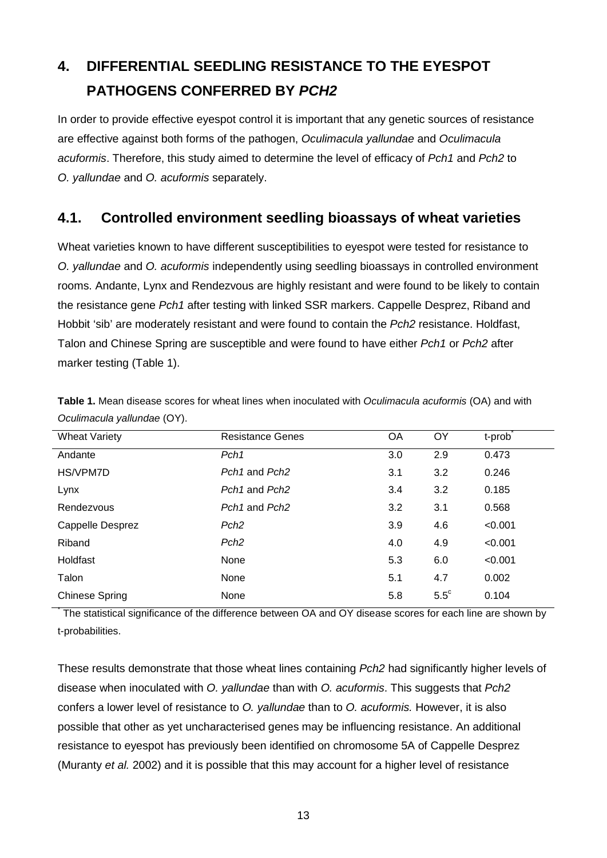# **4. DIFFERENTIAL SEEDLING RESISTANCE TO THE EYESPOT PATHOGENS CONFERRED BY** *PCH2*

In order to provide effective eyespot control it is important that any genetic sources of resistance are effective against both forms of the pathogen, *Oculimacula yallundae* and *Oculimacula acuformis*. Therefore, this study aimed to determine the level of efficacy of *Pch1* and *Pch2* to *O. yallundae* and *O. acuformis* separately.

#### **4.1. Controlled environment seedling bioassays of wheat varieties**

Wheat varieties known to have different susceptibilities to eyespot were tested for resistance to *O. yallundae* and *O. acuformis* independently using seedling bioassays in controlled environment rooms. Andante, Lynx and Rendezvous are highly resistant and were found to be likely to contain the resistance gene *Pch1* after testing with linked SSR markers. Cappelle Desprez, Riband and Hobbit 'sib' are moderately resistant and were found to contain the *Pch2* resistance. Holdfast, Talon and Chinese Spring are susceptible and were found to have either *Pch1* or *Pch2* after marker testing (Table 1).

| <b>Wheat Variety</b>  | <b>Resistance Genes</b>               | OA  | OY            | t-prob  |
|-----------------------|---------------------------------------|-----|---------------|---------|
| Andante               | Pch <sub>1</sub>                      | 3.0 | 2.9           | 0.473   |
| HS/VPM7D              | Pch <sub>1</sub> and Pch <sub>2</sub> | 3.1 | 3.2           | 0.246   |
| Lynx                  | Pch <sub>1</sub> and Pch <sub>2</sub> | 3.4 | 3.2           | 0.185   |
| Rendezvous            | Pch <sub>1</sub> and Pch <sub>2</sub> | 3.2 | 3.1           | 0.568   |
| Cappelle Desprez      | Pch <sub>2</sub>                      | 3.9 | 4.6           | < 0.001 |
| Riband                | Pch <sub>2</sub>                      | 4.0 | 4.9           | < 0.001 |
| Holdfast              | None                                  | 5.3 | 6.0           | < 0.001 |
| Talon                 | None                                  | 5.1 | 4.7           | 0.002   |
| <b>Chinese Spring</b> | None                                  | 5.8 | $5.5^{\circ}$ | 0.104   |

**Table 1.** Mean disease scores for wheat lines when inoculated with *Oculimacula acuformis* (OA) and with *Oculimacula yallundae* (OY).

The statistical significance of the difference between OA and OY disease scores for each line are shown by t-probabilities.

These results demonstrate that those wheat lines containing *Pch2* had significantly higher levels of disease when inoculated with *O. yallundae* than with *O. acuformis*. This suggests that *Pch2*  confers a lower level of resistance to *O. yallundae* than to *O. acuformis.* However, it is also possible that other as yet uncharacterised genes may be influencing resistance. An additional resistance to eyespot has previously been identified on chromosome 5A of Cappelle Desprez (Muranty *et al.* 2002) and it is possible that this may account for a higher level of resistance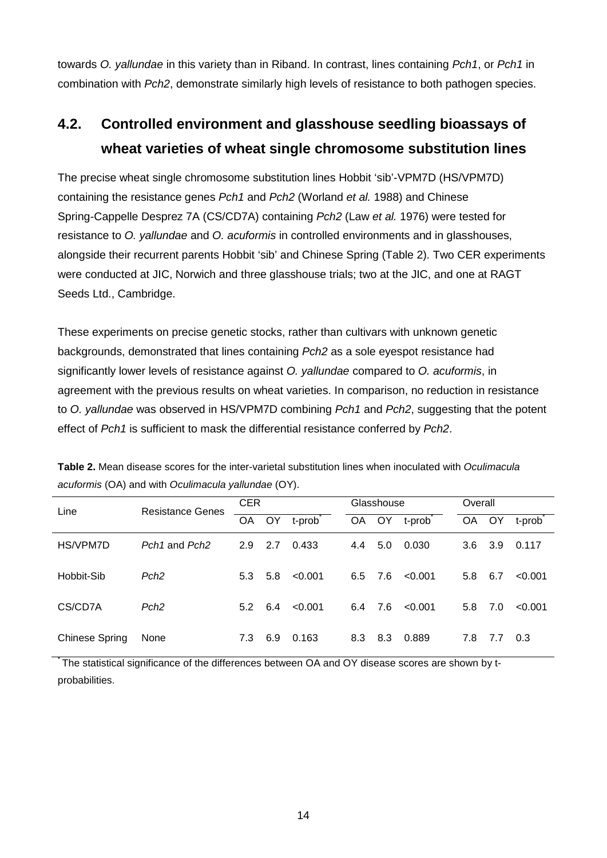towards *O. yallundae* in this variety than in Riband. In contrast, lines containing *Pch1*, or *Pch1* in combination with *Pch2*, demonstrate similarly high levels of resistance to both pathogen species.

# **4.2. Controlled environment and glasshouse seedling bioassays of wheat varieties of wheat single chromosome substitution lines**

The precise wheat single chromosome substitution lines Hobbit 'sib'-VPM7D (HS/VPM7D) containing the resistance genes *Pch1* and *Pch2* (Worland *et al.* 1988) and Chinese Spring-Cappelle Desprez 7A (CS/CD7A) containing *Pch2* (Law *et al.* 1976) were tested for resistance to *O. yallundae* and *O. acuformis* in controlled environments and in glasshouses, alongside their recurrent parents Hobbit 'sib' and Chinese Spring (Table 2). Two CER experiments were conducted at JIC, Norwich and three glasshouse trials; two at the JIC, and one at RAGT Seeds Ltd., Cambridge.

These experiments on precise genetic stocks, rather than cultivars with unknown genetic backgrounds, demonstrated that lines containing *Pch2* as a sole eyespot resistance had significantly lower levels of resistance against *O. yallundae* compared to *O. acuformis*, in agreement with the previous results on wheat varieties. In comparison, no reduction in resistance to *O. yallundae* was observed in HS/VPM7D combining *Pch1* and *Pch2*, suggesting that the potent effect of *Pch1* is sufficient to mask the differential resistance conferred by *Pch2*.

| Line                  | <b>Resistance Genes</b>               | <b>CER</b>    |     |         |           | Glasshouse |         | Overall |       |         |  |
|-----------------------|---------------------------------------|---------------|-----|---------|-----------|------------|---------|---------|-------|---------|--|
|                       |                                       | OA.           | OY. | t-prob  | <b>OA</b> | OY .       | t-prob  | OA      | OY.   | t-prob  |  |
| HS/VPM7D              | Pch <sub>1</sub> and Pch <sub>2</sub> | 2.9           | 2.7 | 0.433   | 4.4       | 5.0        | 0.030   | 3.6     | - 3.9 | 0.117   |  |
| Hobbit-Sib            | Pch <sub>2</sub>                      | 5.3           | 5.8 | < 0.001 | 6.5       | 7.6        | < 0.001 | 5.8     | 6.7   | < 0.001 |  |
| CS/CD7A               | Pch <sub>2</sub>                      | $5.2^{\circ}$ | 6.4 | < 0.001 | 6.4       | 7.6        | < 0.001 | 5.8     | 7.0   | < 0.001 |  |
| <b>Chinese Spring</b> | None                                  | 7.3           | 6.9 | 0.163   | 8.3       | 8.3        | 0.889   | 7.8     | - 7.7 | 0.3     |  |

**Table 2.** Mean disease scores for the inter-varietal substitution lines when inoculated with *Oculimacula acuformis* (OA) and with *Oculimacula yallundae* (OY).

The statistical significance of the differences between OA and OY disease scores are shown by tprobabilities.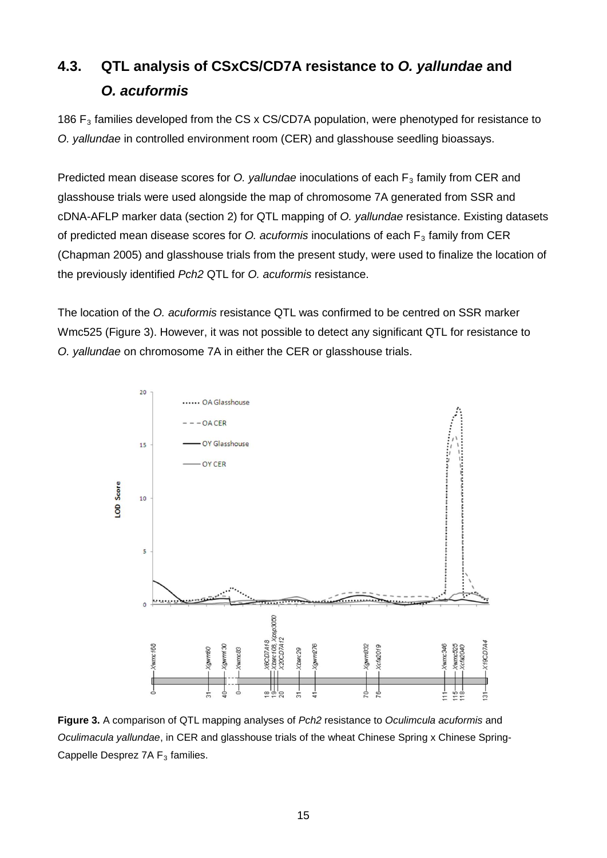# **4.3. QTL analysis of CSxCS/CD7A resistance to** *O. yallundae* **and**  *O. acuformis*

186  $F_3$  families developed from the CS x CS/CD7A population, were phenotyped for resistance to *O. yallundae* in controlled environment room (CER) and glasshouse seedling bioassays.

Predicted mean disease scores for *O. yallundae* inoculations of each F<sub>3</sub> family from CER and glasshouse trials were used alongside the map of chromosome 7A generated from SSR and cDNA-AFLP marker data (section 2) for QTL mapping of *O. yallundae* resistance. Existing datasets of predicted mean disease scores for *O. acuformis* inoculations of each F<sub>3</sub> family from CER (Chapman 2005) and glasshouse trials from the present study, were used to finalize the location of the previously identified *Pch2* QTL for *O. acuformis* resistance.

The location of the *O. acuformis* resistance QTL was confirmed to be centred on SSR marker Wmc525 (Figure 3). However, it was not possible to detect any significant QTL for resistance to *O. yallundae* on chromosome 7A in either the CER or glasshouse trials.



**Figure 3.** A comparison of QTL mapping analyses of *Pch2* resistance to *Oculimcula acuformis* and *Oculimacula yallundae*, in CER and glasshouse trials of the wheat Chinese Spring x Chinese Spring-Cappelle Desprez 7A  $F_3$  families.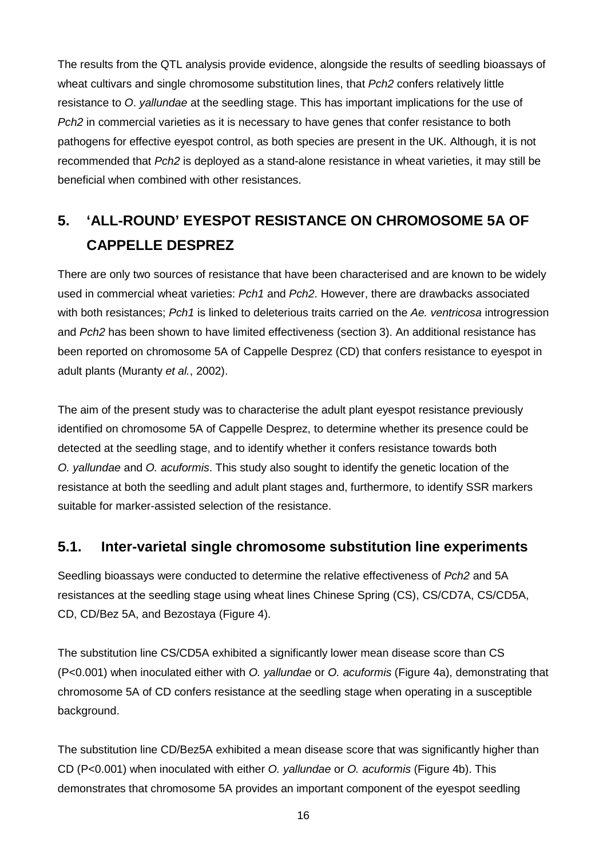The results from the QTL analysis provide evidence, alongside the results of seedling bioassays of wheat cultivars and single chromosome substitution lines, that *Pch2* confers relatively little resistance to *O*. *yallundae* at the seedling stage. This has important implications for the use of *Pch2* in commercial varieties as it is necessary to have genes that confer resistance to both pathogens for effective eyespot control, as both species are present in the UK. Although, it is not recommended that *Pch2* is deployed as a stand-alone resistance in wheat varieties, it may still be beneficial when combined with other resistances.

# **5. 'ALL-ROUND' EYESPOT RESISTANCE ON CHROMOSOME 5A OF CAPPELLE DESPREZ**

There are only two sources of resistance that have been characterised and are known to be widely used in commercial wheat varieties: *Pch1* and *Pch2*. However, there are drawbacks associated with both resistances; *Pch1* is linked to deleterious traits carried on the *Ae. ventricosa* introgression and *Pch2* has been shown to have limited effectiveness (section 3). An additional resistance has been reported on chromosome 5A of Cappelle Desprez (CD) that confers resistance to eyespot in adult plants (Muranty *et al.*, 2002).

The aim of the present study was to characterise the adult plant eyespot resistance previously identified on chromosome 5A of Cappelle Desprez, to determine whether its presence could be detected at the seedling stage, and to identify whether it confers resistance towards both *O. yallundae* and *O. acuformis*. This study also sought to identify the genetic location of the resistance at both the seedling and adult plant stages and, furthermore, to identify SSR markers suitable for marker-assisted selection of the resistance.

#### **5.1. Inter-varietal single chromosome substitution line experiments**

Seedling bioassays were conducted to determine the relative effectiveness of *Pch2* and 5A resistances at the seedling stage using wheat lines Chinese Spring (CS), CS/CD7A, CS/CD5A, CD, CD/Bez 5A, and Bezostaya (Figure 4).

The substitution line CS/CD5A exhibited a significantly lower mean disease score than CS (P<0.001) when inoculated either with *O. yallundae* or *O. acuformis* (Figure 4a), demonstrating that chromosome 5A of CD confers resistance at the seedling stage when operating in a susceptible background.

The substitution line CD/Bez5A exhibited a mean disease score that was significantly higher than CD (P<0.001) when inoculated with either *O. yallundae* or *O. acuformis* (Figure 4b). This demonstrates that chromosome 5A provides an important component of the eyespot seedling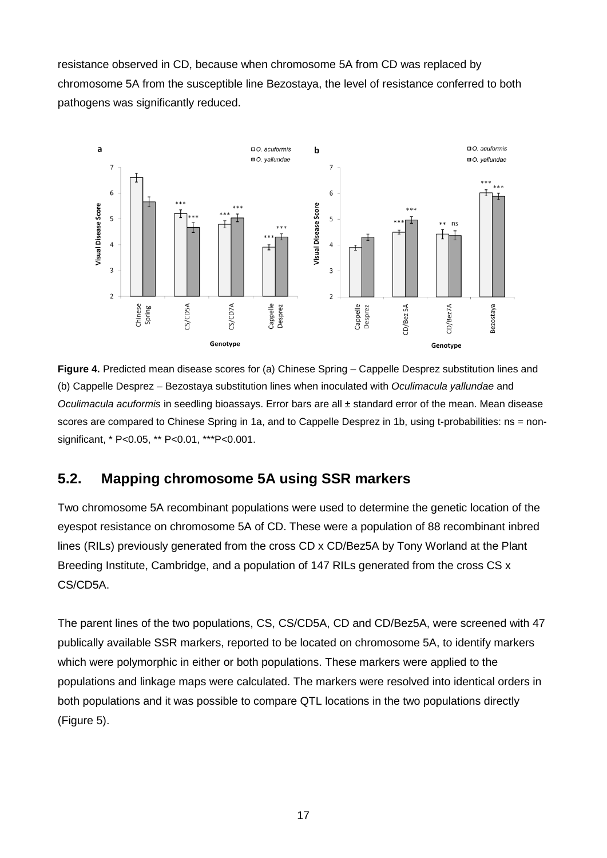resistance observed in CD, because when chromosome 5A from CD was replaced by chromosome 5A from the susceptible line Bezostaya, the level of resistance conferred to both pathogens was significantly reduced.



**Figure 4.** Predicted mean disease scores for (a) Chinese Spring – Cappelle Desprez substitution lines and (b) Cappelle Desprez – Bezostaya substitution lines when inoculated with *Oculimacula yallundae* and *Oculimacula acuformis* in seedling bioassays. Error bars are all ± standard error of the mean. Mean disease scores are compared to Chinese Spring in 1a, and to Cappelle Desprez in 1b, using t-probabilities: ns = nonsignificant, \* P<0.05, \*\* P<0.01, \*\*\*P<0.001.

## **5.2. Mapping chromosome 5A using SSR markers**

Two chromosome 5A recombinant populations were used to determine the genetic location of the eyespot resistance on chromosome 5A of CD. These were a population of 88 recombinant inbred lines (RILs) previously generated from the cross CD x CD/Bez5A by Tony Worland at the Plant Breeding Institute, Cambridge, and a population of 147 RILs generated from the cross CS x CS/CD5A.

The parent lines of the two populations, CS, CS/CD5A, CD and CD/Bez5A, were screened with 47 publically available SSR markers, reported to be located on chromosome 5A, to identify markers which were polymorphic in either or both populations. These markers were applied to the populations and linkage maps were calculated. The markers were resolved into identical orders in both populations and it was possible to compare QTL locations in the two populations directly (Figure 5).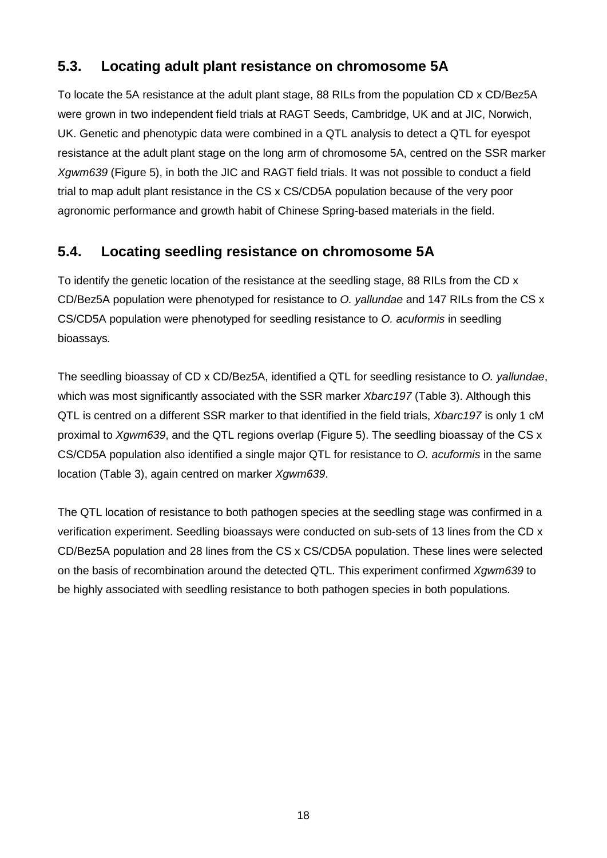## **5.3. Locating adult plant resistance on chromosome 5A**

To locate the 5A resistance at the adult plant stage, 88 RILs from the population CD x CD/Bez5A were grown in two independent field trials at RAGT Seeds, Cambridge, UK and at JIC, Norwich, UK. Genetic and phenotypic data were combined in a QTL analysis to detect a QTL for eyespot resistance at the adult plant stage on the long arm of chromosome 5A, centred on the SSR marker *Xgwm639* (Figure 5), in both the JIC and RAGT field trials. It was not possible to conduct a field trial to map adult plant resistance in the CS x CS/CD5A population because of the very poor agronomic performance and growth habit of Chinese Spring-based materials in the field.

## **5.4. Locating seedling resistance on chromosome 5A**

To identify the genetic location of the resistance at the seedling stage, 88 RILs from the CD x CD/Bez5A population were phenotyped for resistance to *O. yallundae* and 147 RILs from the CS x CS/CD5A population were phenotyped for seedling resistance to *O. acuformis* in seedling bioassays*.*

The seedling bioassay of CD x CD/Bez5A, identified a QTL for seedling resistance to *O. yallundae*, which was most significantly associated with the SSR marker *Xbarc197* (Table 3). Although this QTL is centred on a different SSR marker to that identified in the field trials, *Xbarc197* is only 1 cM proximal to *Xgwm639*, and the QTL regions overlap (Figure 5). The seedling bioassay of the CS x CS/CD5A population also identified a single major QTL for resistance to *O. acuformis* in the same location (Table 3), again centred on marker *Xgwm639*.

The QTL location of resistance to both pathogen species at the seedling stage was confirmed in a verification experiment. Seedling bioassays were conducted on sub-sets of 13 lines from the CD x CD/Bez5A population and 28 lines from the CS x CS/CD5A population. These lines were selected on the basis of recombination around the detected QTL. This experiment confirmed *Xgwm639* to be highly associated with seedling resistance to both pathogen species in both populations.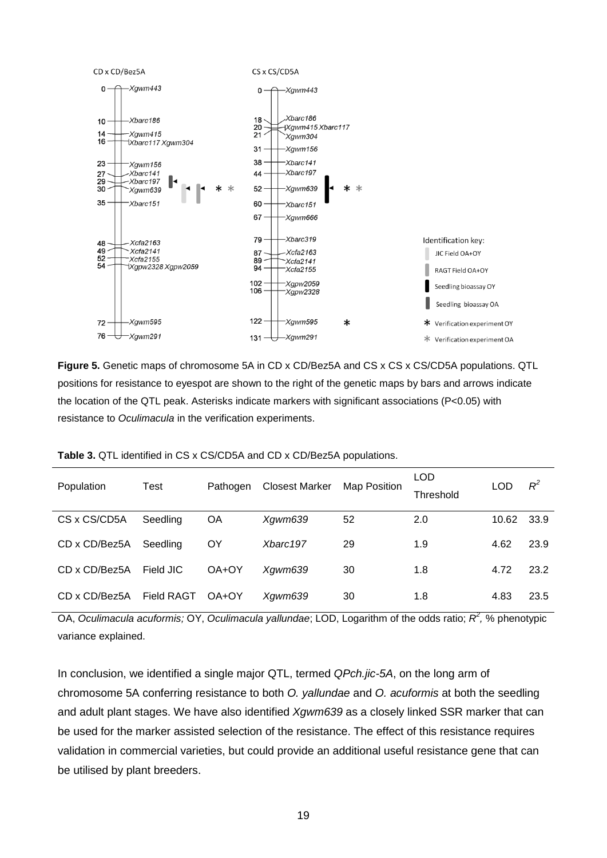

**Figure 5.** Genetic maps of chromosome 5A in CD x CD/Bez5A and CS x CS x CS/CD5A populations. QTL positions for resistance to eyespot are shown to the right of the genetic maps by bars and arrows indicate the location of the QTL peak. Asterisks indicate markers with significant associations (P<0.05) with resistance to *Oculimacula* in the verification experiments.

| Population    | Test              | Pathogen | <b>Closest Marker</b> | Map Position | LOD.<br>Threshold | LOD   | $R^2$ |
|---------------|-------------------|----------|-----------------------|--------------|-------------------|-------|-------|
| CS x CS/CD5A  | Seedling          | ΟA       | Xgwm639               | 52           | 2.0               | 10.62 | 33.9  |
| CD x CD/Bez5A | Seedling          | ΟY       | Xbarc197              | 29           | 1.9               | 4.62  | 23.9  |
| CD x CD/Bez5A | Field JIC         | OA+OY    | Xqwm639               | 30           | 1.8               | 4.72  | 23.2  |
| CD x CD/Bez5A | <b>Field RAGT</b> | OA+OY    | Xgwm639               | 30           | 1.8               | 4.83  | 23.5  |

**Table 3.** QTL identified in CS x CS/CD5A and CD x CD/Bez5A populations.

OA, *Oculimacula acuformis;* OY, *Oculimacula yallundae*; LOD, Logarithm of the odds ratio; *R<sup>2</sup> ,* % phenotypic variance explained.

In conclusion, we identified a single major QTL, termed *QPch.jic-5A*, on the long arm of chromosome 5A conferring resistance to both *O. yallundae* and *O. acuformis* at both the seedling and adult plant stages. We have also identified *Xgwm639* as a closely linked SSR marker that can be used for the marker assisted selection of the resistance. The effect of this resistance requires validation in commercial varieties, but could provide an additional useful resistance gene that can be utilised by plant breeders.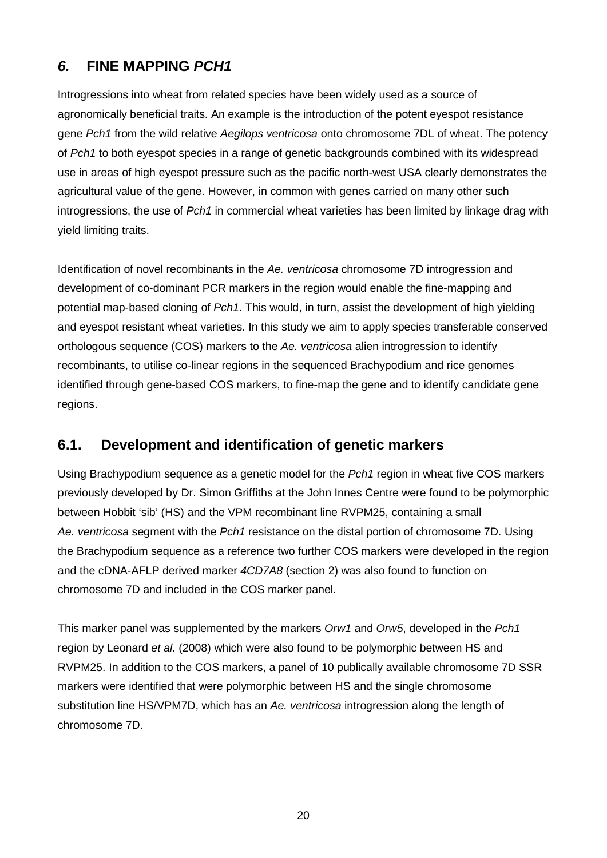# *6.* **FINE MAPPING** *PCH1*

Introgressions into wheat from related species have been widely used as a source of agronomically beneficial traits. An example is the introduction of the potent eyespot resistance gene *Pch1* from the wild relative *Aegilops ventricosa* onto chromosome 7DL of wheat. The potency of *Pch1* to both eyespot species in a range of genetic backgrounds combined with its widespread use in areas of high eyespot pressure such as the pacific north-west USA clearly demonstrates the agricultural value of the gene. However, in common with genes carried on many other such introgressions, the use of *Pch1* in commercial wheat varieties has been limited by linkage drag with yield limiting traits.

Identification of novel recombinants in the *Ae. ventricosa* chromosome 7D introgression and development of co-dominant PCR markers in the region would enable the fine-mapping and potential map-based cloning of *Pch1*. This would, in turn, assist the development of high yielding and eyespot resistant wheat varieties. In this study we aim to apply species transferable conserved orthologous sequence (COS) markers to the *Ae. ventricosa* alien introgression to identify recombinants, to utilise co-linear regions in the sequenced Brachypodium and rice genomes identified through gene-based COS markers, to fine-map the gene and to identify candidate gene regions.

### **6.1. Development and identification of genetic markers**

Using Brachypodium sequence as a genetic model for the *Pch1* region in wheat five COS markers previously developed by Dr. Simon Griffiths at the John Innes Centre were found to be polymorphic between Hobbit 'sib' (HS) and the VPM recombinant line RVPM25, containing a small *Ae. ventricosa* segment with the *Pch1* resistance on the distal portion of chromosome 7D. Using the Brachypodium sequence as a reference two further COS markers were developed in the region and the cDNA-AFLP derived marker *4CD7A8* (section 2) was also found to function on chromosome 7D and included in the COS marker panel.

This marker panel was supplemented by the markers *Orw1* and *Orw5*, developed in the *Pch1*  region by Leonard *et al.* (2008) which were also found to be polymorphic between HS and RVPM25. In addition to the COS markers, a panel of 10 publically available chromosome 7D SSR markers were identified that were polymorphic between HS and the single chromosome substitution line HS/VPM7D, which has an *Ae. ventricosa* introgression along the length of chromosome 7D.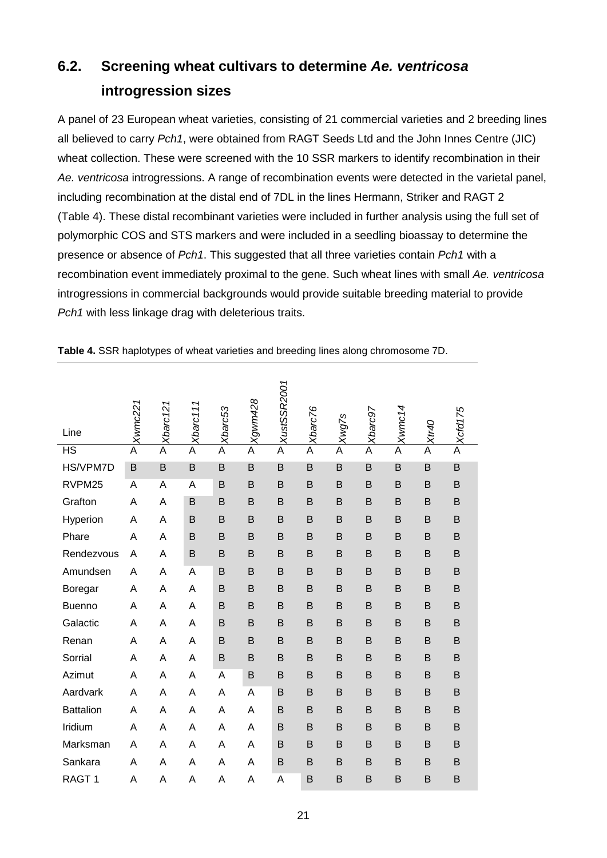# **6.2. Screening wheat cultivars to determine** *Ae. ventricosa* **introgression sizes**

A panel of 23 European wheat varieties, consisting of 21 commercial varieties and 2 breeding lines all believed to carry *Pch1*, were obtained from RAGT Seeds Ltd and the John Innes Centre (JIC) wheat collection. These were screened with the 10 SSR markers to identify recombination in their *Ae. ventricosa* introgressions. A range of recombination events were detected in the varietal panel, including recombination at the distal end of 7DL in the lines Hermann, Striker and RAGT 2 (Table 4). These distal recombinant varieties were included in further analysis using the full set of polymorphic COS and STS markers and were included in a seedling bioassay to determine the presence or absence of *Pch1*. This suggested that all three varieties contain *Pch1* with a recombination event immediately proximal to the gene. Such wheat lines with small *Ae. ventricosa*  introgressions in commercial backgrounds would provide suitable breeding material to provide *Pch1* with less linkage drag with deleterious traits.

| Line              | Xwmc221        | Xbarc 121      | Xbarc111       | Xbarc53 | Xgwm428                 | XustSSR2001    | Xbarc76 | Xwg7s                   | Xbarc97                 | Xwmc14         | Ot-4X          | P Xcfd175 |
|-------------------|----------------|----------------|----------------|---------|-------------------------|----------------|---------|-------------------------|-------------------------|----------------|----------------|-----------|
| <b>HS</b>         | $\overline{A}$ | $\overline{A}$ | $\overline{A}$ | A       | $\overline{\mathsf{A}}$ | $\overline{A}$ | A       | $\overline{\mathsf{A}}$ | $\overline{\mathsf{A}}$ | $\overline{A}$ | $\overline{A}$ |           |
| HS/VPM7D          | B              | B              | $\mathsf B$    | B       | B                       | $\mathsf B$    | B       | B                       | B                       | B              | B              | B         |
| RVPM25            | A              | A              | Α              | B       | B                       | B              | B       | B                       | B                       | B              | B              | B         |
| Grafton           | Α              | A              | B              | B       | B                       | B              | B       | B                       | B                       | B              | B              | B         |
| Hyperion          | A              | A              | B              | B       | B                       | B              | B       | B                       | B                       | B              | B              | B         |
| Phare             | A              | A              | B              | B       | B                       | B              | B       | B                       | B                       | B              | B              | B         |
| Rendezvous        | Α              | A              | B              | B       | B                       | B              | B       | B                       | B                       | B              | B              | B         |
| Amundsen          | Α              | A              | A              | B       | B                       | B              | B       | B                       | B                       | B              | B              | B         |
| Boregar           | A              | A              | А              | B       | B                       | B              | B       | B                       | B                       | B              | B              | B         |
| <b>Buenno</b>     | A              | A              | A              | B       | B                       | B              | B       | B                       | B                       | B              | B              | B         |
| Galactic          | Α              | A              | A              | B       | B                       | B              | B       | B                       | B                       | B              | B              | B         |
| Renan             | Α              | A              | A              | B       | B                       | B              | B       | B                       | B                       | B              | B              | B         |
| Sorrial           | A              | A              | A              | B       | B                       | B              | B       | B                       | B                       | B              | B              | B         |
| Azimut            | Α              | A              | Α              | Α       | B                       | B              | B       | B                       | B                       | B              | B              | B         |
| Aardvark          | A              | A              | А              | A       | A                       | B              | B       | B                       | B                       | B              | B              | B         |
| <b>Battalion</b>  | Α              | A              | A              | Α       | A                       | B              | B       | B                       | B                       | B              | B              | B         |
| Iridium           | Α              | A              | A              | Α       | Α                       | B              | B       | B                       | B                       | B              | B              | B         |
| Marksman          | A              | A              | A              | Α       | Α                       | B              | B       | B                       | B                       | B              | B              | B         |
| Sankara           | Α              | A              | A              | Α       | Α                       | B              | B       | B                       | B                       | B              | B              | B         |
| RAGT <sub>1</sub> | A              | A              | A              | Α       | A                       | A              | B       | B                       | B                       | B              | B              | B         |

**Table 4.** SSR haplotypes of wheat varieties and breeding lines along chromosome 7D.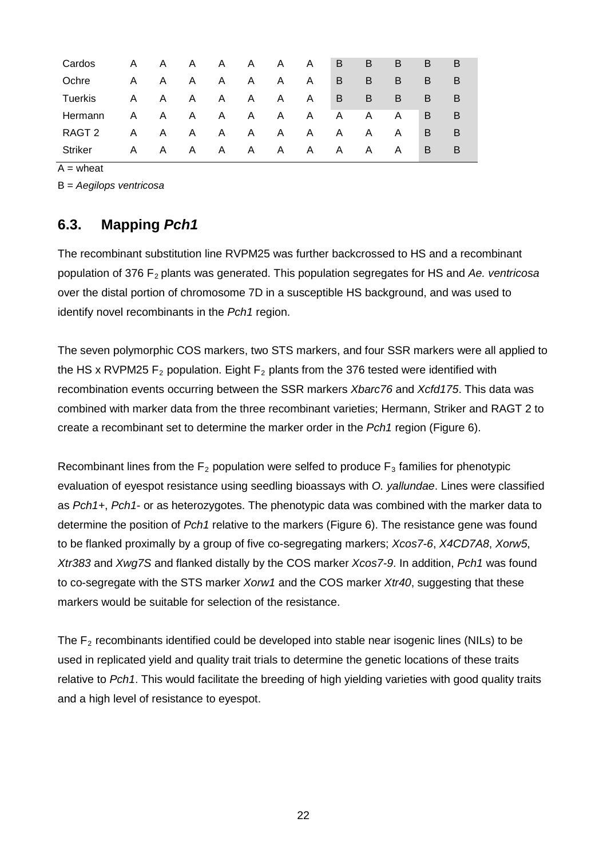| Cardos  | A | A | A. | A            | A  | A | A            | B            | B | B            | B | в |
|---------|---|---|----|--------------|----|---|--------------|--------------|---|--------------|---|---|
| Ochre   | A | A | A  | A            | A  | A | A            | B            | B | B            | B | В |
| Tuerkis | A | A | A. | $\mathsf{A}$ | A. | A | A            | B.           | B | B            | B | В |
| Hermann | A | A | A. | A            | A  | A | $\mathsf{A}$ | A            | A | A            | B | B |
| RAGT 2  | A | A | A. | A            | A  | A | A.           | $\mathsf{A}$ | A | A            | B | B |
| Striker | A | A | A  | A            | A  | A | A            | A.           | A | $\mathsf{A}$ | B | В |

 $A =$  wheat

B = *Aegilops ventricosa*

### **6.3. Mapping** *Pch1*

The recombinant substitution line RVPM25 was further backcrossed to HS and a recombinant population of 376 F2 plants was generated. This population segregates for HS and *Ae. ventricosa*  over the distal portion of chromosome 7D in a susceptible HS background, and was used to identify novel recombinants in the *Pch1* region.

The seven polymorphic COS markers, two STS markers, and four SSR markers were all applied to the HS x RVPM25  $F_2$  population. Eight  $F_2$  plants from the 376 tested were identified with recombination events occurring between the SSR markers *Xbarc76* and *Xcfd175*. This data was combined with marker data from the three recombinant varieties; Hermann, Striker and RAGT 2 to create a recombinant set to determine the marker order in the *Pch1* region (Figure 6).

Recombinant lines from the  $F_2$  population were selfed to produce  $F_3$  families for phenotypic evaluation of eyespot resistance using seedling bioassays with *O. yallundae*. Lines were classified as *Pch1+*, *Pch1*- or as heterozygotes. The phenotypic data was combined with the marker data to determine the position of *Pch1* relative to the markers (Figure 6). The resistance gene was found to be flanked proximally by a group of five co-segregating markers; *Xcos7-6*, *X4CD7A8*, *Xorw5*, *Xtr383* and *Xwg7S* and flanked distally by the COS marker *Xcos7-9*. In addition, *Pch1* was found to co-segregate with the STS marker *Xorw1* and the COS marker *Xtr40*, suggesting that these markers would be suitable for selection of the resistance.

The  $F<sub>2</sub>$  recombinants identified could be developed into stable near isogenic lines (NILs) to be used in replicated yield and quality trait trials to determine the genetic locations of these traits relative to *Pch1*. This would facilitate the breeding of high yielding varieties with good quality traits and a high level of resistance to eyespot.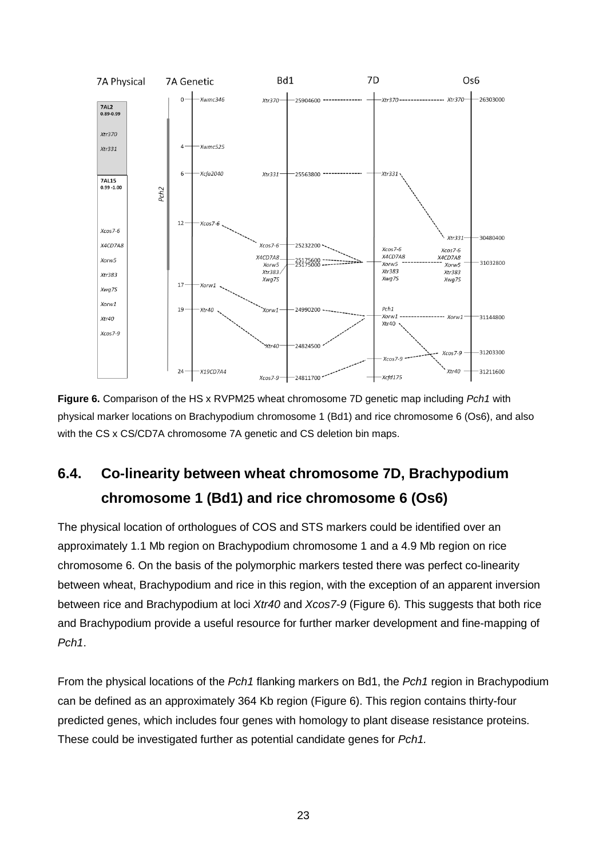![](_page_21_Figure_0.jpeg)

**Figure 6.** Comparison of the HS x RVPM25 wheat chromosome 7D genetic map including *Pch1* with physical marker locations on Brachypodium chromosome 1 (Bd1) and rice chromosome 6 (Os6), and also with the CS x CS/CD7A chromosome 7A genetic and CS deletion bin maps.

# **6.4. Co-linearity between wheat chromosome 7D, Brachypodium chromosome 1 (Bd1) and rice chromosome 6 (Os6)**

The physical location of orthologues of COS and STS markers could be identified over an approximately 1.1 Mb region on Brachypodium chromosome 1 and a 4.9 Mb region on rice chromosome 6. On the basis of the polymorphic markers tested there was perfect co-linearity between wheat, Brachypodium and rice in this region, with the exception of an apparent inversion between rice and Brachypodium at loci *Xtr40* and *Xcos7-9* (Figure 6)*.* This suggests that both rice and Brachypodium provide a useful resource for further marker development and fine-mapping of *Pch1*.

From the physical locations of the *Pch1* flanking markers on Bd1, the *Pch1* region in Brachypodium can be defined as an approximately 364 Kb region (Figure 6). This region contains thirty-four predicted genes, which includes four genes with homology to plant disease resistance proteins. These could be investigated further as potential candidate genes for *Pch1.*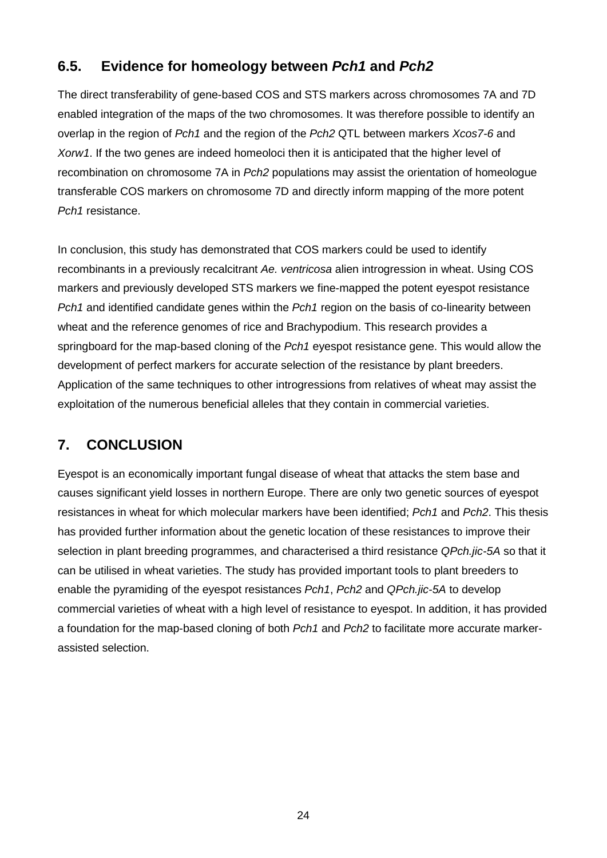## **6.5. Evidence for homeology between** *Pch1* **and** *Pch2*

The direct transferability of gene-based COS and STS markers across chromosomes 7A and 7D enabled integration of the maps of the two chromosomes. It was therefore possible to identify an overlap in the region of *Pch1* and the region of the *Pch2* QTL between markers *Xcos7-6* and *Xorw1*. If the two genes are indeed homeoloci then it is anticipated that the higher level of recombination on chromosome 7A in *Pch2* populations may assist the orientation of homeologue transferable COS markers on chromosome 7D and directly inform mapping of the more potent *Pch1* resistance.

In conclusion, this study has demonstrated that COS markers could be used to identify recombinants in a previously recalcitrant *Ae. ventricosa* alien introgression in wheat. Using COS markers and previously developed STS markers we fine-mapped the potent eyespot resistance *Pch1* and identified candidate genes within the *Pch1* region on the basis of co-linearity between wheat and the reference genomes of rice and Brachypodium. This research provides a springboard for the map-based cloning of the *Pch1* eyespot resistance gene. This would allow the development of perfect markers for accurate selection of the resistance by plant breeders. Application of the same techniques to other introgressions from relatives of wheat may assist the exploitation of the numerous beneficial alleles that they contain in commercial varieties.

## **7. CONCLUSION**

Eyespot is an economically important fungal disease of wheat that attacks the stem base and causes significant yield losses in northern Europe. There are only two genetic sources of eyespot resistances in wheat for which molecular markers have been identified; *Pch1* and *Pch2*. This thesis has provided further information about the genetic location of these resistances to improve their selection in plant breeding programmes, and characterised a third resistance *QPch.jic-5A* so that it can be utilised in wheat varieties. The study has provided important tools to plant breeders to enable the pyramiding of the eyespot resistances *Pch1*, *Pch2* and *QPch.jic-5A* to develop commercial varieties of wheat with a high level of resistance to eyespot. In addition, it has provided a foundation for the map-based cloning of both *Pch1* and *Pch2* to facilitate more accurate markerassisted selection.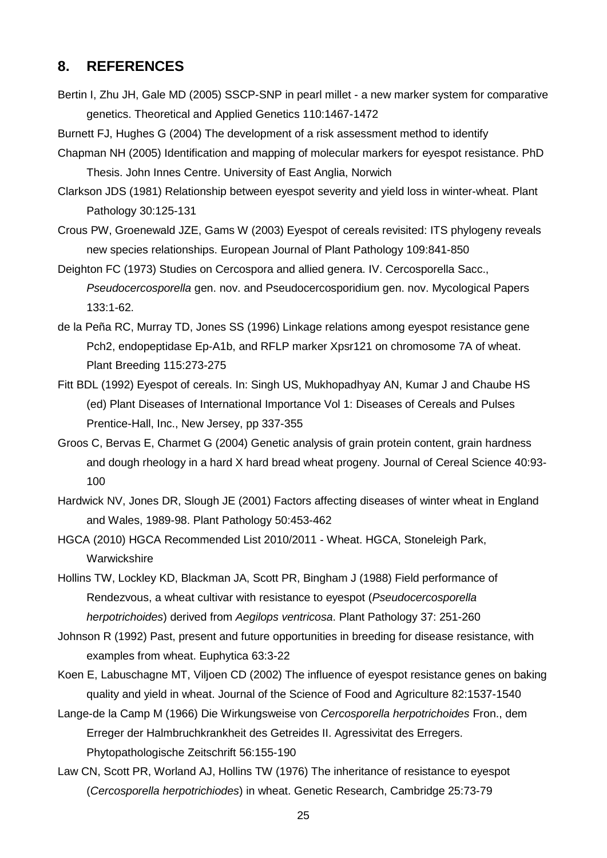#### **8. REFERENCES**

- Bertin I, Zhu JH, Gale MD (2005) SSCP-SNP in pearl millet a new marker system for comparative genetics. Theoretical and Applied Genetics 110:1467-1472
- Burnett FJ, Hughes G (2004) The development of a risk assessment method to identify
- Chapman NH (2005) Identification and mapping of molecular markers for eyespot resistance. PhD Thesis. John Innes Centre. University of East Anglia, Norwich
- Clarkson JDS (1981) Relationship between eyespot severity and yield loss in winter-wheat. Plant Pathology 30:125-131
- Crous PW, Groenewald JZE, Gams W (2003) Eyespot of cereals revisited: ITS phylogeny reveals new species relationships. European Journal of Plant Pathology 109:841-850
- Deighton FC (1973) Studies on Cercospora and allied genera. IV. Cercosporella Sacc., *Pseudocercosporella* gen. nov. and Pseudocercosporidium gen. nov. Mycological Papers 133:1-62.
- de la Peña RC, Murray TD, Jones SS (1996) Linkage relations among eyespot resistance gene Pch2, endopeptidase Ep-A1b, and RFLP marker Xpsr121 on chromosome 7A of wheat. Plant Breeding 115:273-275
- Fitt BDL (1992) Eyespot of cereals. In: Singh US, Mukhopadhyay AN, Kumar J and Chaube HS (ed) Plant Diseases of International Importance Vol 1: Diseases of Cereals and Pulses Prentice-Hall, Inc., New Jersey, pp 337-355
- Groos C, Bervas E, Charmet G (2004) Genetic analysis of grain protein content, grain hardness and dough rheology in a hard X hard bread wheat progeny. Journal of Cereal Science 40:93- 100
- Hardwick NV, Jones DR, Slough JE (2001) Factors affecting diseases of winter wheat in England and Wales, 1989-98. Plant Pathology 50:453-462
- HGCA (2010) HGCA Recommended List 2010/2011 Wheat. HGCA, Stoneleigh Park, Warwickshire
- Hollins TW, Lockley KD, Blackman JA, Scott PR, Bingham J (1988) Field performance of Rendezvous, a wheat cultivar with resistance to eyespot (*Pseudocercosporella herpotrichoides*) derived from *Aegilops ventricosa*. Plant Pathology 37: 251-260
- Johnson R (1992) Past, present and future opportunities in breeding for disease resistance, with examples from wheat. Euphytica 63:3-22
- Koen E, Labuschagne MT, Viljoen CD (2002) The influence of eyespot resistance genes on baking quality and yield in wheat. Journal of the Science of Food and Agriculture 82:1537-1540
- Lange-de la Camp M (1966) Die Wirkungsweise von *Cercosporella herpotrichoides* Fron., dem Erreger der Halmbruchkrankheit des Getreides II. Agressivitat des Erregers. Phytopathologische Zeitschrift 56:155-190
- Law CN, Scott PR, Worland AJ, Hollins TW (1976) The inheritance of resistance to eyespot (*Cercosporella herpotrichiodes*) in wheat. Genetic Research, Cambridge 25:73-79